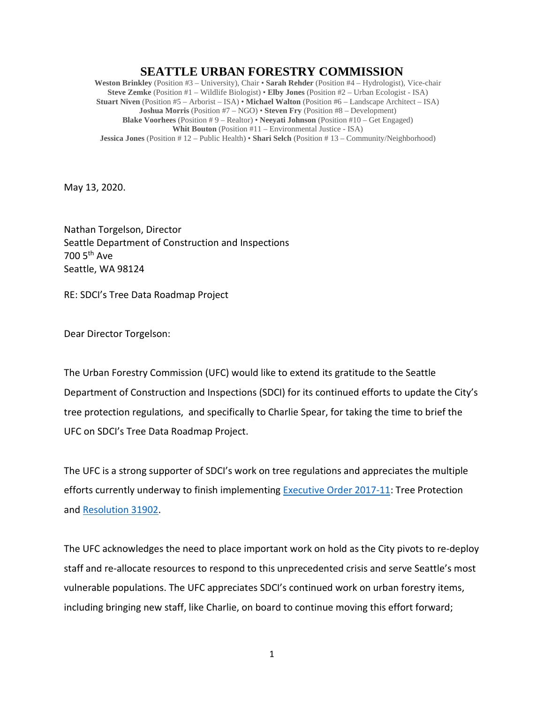## **SEATTLE URBAN FORESTRY COMMISSION**

**Weston Brinkley** (Position #3 – University), Chair • **Sarah Rehder** (Position #4 – Hydrologist), Vice-chair **Steve Zemke** (Position #1 – Wildlife Biologist) • **Elby Jones** (Position #2 – Urban Ecologist - ISA) **Stuart Niven** (Position #5 – Arborist – ISA) • **Michael Walton** (Position #6 – Landscape Architect – ISA) **Joshua Morris** (Position #7 – NGO) • **Steven Fry** (Position #8 – Development) **Blake Voorhees** (Position # 9 – Realtor) • **Neeyati Johnson** (Position #10 – Get Engaged) **Whit Bouton** (Position #11 – Environmental Justice - ISA) **Jessica Jones** (Position # 12 – Public Health) • **Shari Selch** (Position # 13 – Community/Neighborhood)

May 13, 2020.

Nathan Torgelson, Director Seattle Department of Construction and Inspections 700 5th Ave Seattle, WA 98124

RE: SDCI's Tree Data Roadmap Project

Dear Director Torgelson:

The Urban Forestry Commission (UFC) would like to extend its gratitude to the Seattle Department of Construction and Inspections (SDCI) for its continued efforts to update the City's tree protection regulations, and specifically to Charlie Spear, for taking the time to brief the UFC on SDCI's Tree Data Roadmap Project.

The UFC is a strong supporter of SDCI's work on tree regulations and appreciates the multiple efforts currently underway to finish implementing [Executive Order 2017-11:](http://www.seattle.gov/Documents/Departments/UrbanForestryCommission/2018/2018docs/TreeExecOrder2017-11FINAL.pdf) Tree Protection and [Resolution 31902.](http://seattle.legistar.com/ViewReport.ashx?M=R&N=Text&GID=393&ID=3667453&GUID=8D207CD2-96FC-4B02-94AB-7832F169796D&Title=Legislation+Text)

The UFC acknowledges the need to place important work on hold as the City pivots to re-deploy staff and re-allocate resources to respond to this unprecedented crisis and serve Seattle's most vulnerable populations. The UFC appreciates SDCI's continued work on urban forestry items, including bringing new staff, like Charlie, on board to continue moving this effort forward;

1